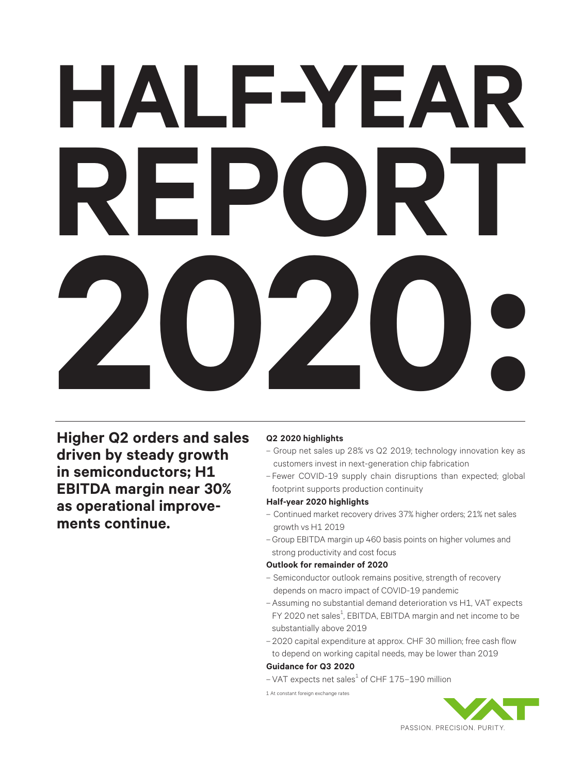## **HALF-YEAR REPORT 2020:**

**Higher Q2 orders and sales driven by steady growth in semiconductors; H1 EBITDA margin near 30% as operational improvements continue.**

#### **Q2 2020 highlights**

- Group net sales up 28% vs Q2 2019; technology innovation key as customers invest in next-generation chip fabrication
- Fewer COVID-19 supply chain disruptions than expected; global footprint supports production continuity

#### **Half-year 2020 highlights**

- Continued market recovery drives 37% higher orders; 21% net sales growth vs H1 2019
- –Group EBITDA margin up 460 basis points on higher volumes and strong productivity and cost focus

#### **Outlook for remainder of 2020**

- Semiconductor outlook remains positive, strength of recovery depends on macro impact of COVID-19 pandemic
- Assuming no substantial demand deterioration vs H1, VAT expects FY 2020 net sales<sup>1</sup>, EBITDA, EBITDA margin and net income to be substantially above 2019
- 2020 capital expenditure at approx. CHF 30 million; free cash flow to depend on working capital needs, may be lower than 2019

#### **Guidance for Q3 2020**

 $-$  VAT expects net sales $^1$  of CHF 175-190 million

1 At constant foreign exchange rates

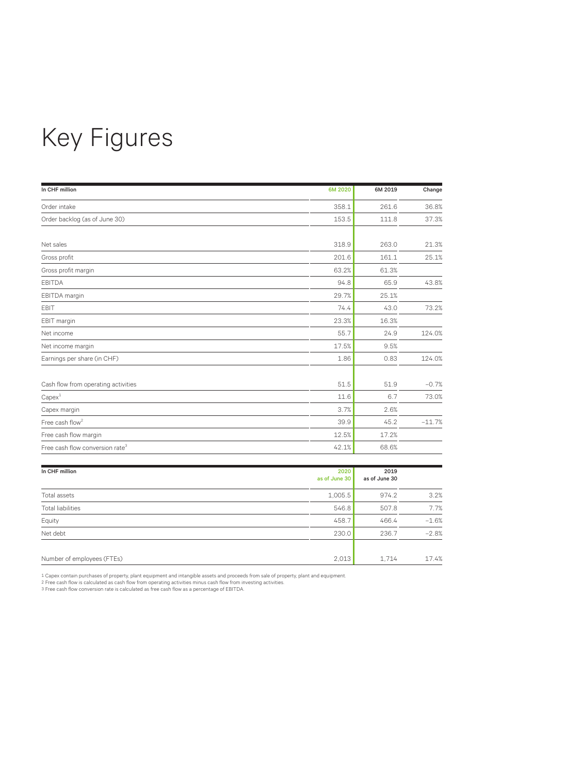## Key Figures

| In CHF million                              | 6M 2020 | 6M 2019 | Change   |
|---------------------------------------------|---------|---------|----------|
| Order intake                                | 358.1   | 261.6   | 36.8%    |
| Order backlog (as of June 30)               | 153.5   | 111.8   | 37.3%    |
|                                             |         |         |          |
| Net sales                                   | 318.9   | 263.0   | 21.3%    |
| Gross profit                                | 201.6   | 161.1   | 25.1%    |
| Gross profit margin                         | 63.2%   | 61.3%   |          |
| <b>EBITDA</b>                               | 94.8    | 65.9    | 43.8%    |
| EBITDA margin                               | 29.7%   | 25.1%   |          |
| <b>EBIT</b>                                 | 74.4    | 43.0    | 73.2%    |
| EBIT margin                                 | 23.3%   | 16.3%   |          |
| Net income                                  | 55.7    | 24.9    | 124.0%   |
| Net income margin                           | 17.5%   | 9.5%    |          |
| Earnings per share (in CHF)                 | 1.86    | 0.83    | 124.0%   |
| Cash flow from operating activities         | 51.5    | 51.9    | $-0.7%$  |
| Capex <sup>1</sup>                          | 11.6    | 6.7     | 73.0%    |
| Capex margin                                | 3.7%    | 2.6%    |          |
| Free cash flow <sup>2</sup>                 | 39.9    | 45.2    | $-11.7%$ |
| Free cash flow margin                       | 12.5%   | 17.2%   |          |
| Free cash flow conversion rate <sup>3</sup> | 42.1%   | 68.6%   |          |

| In CHF million             | 2020<br>as of June 30 | 2019<br>as of June 30 |         |
|----------------------------|-----------------------|-----------------------|---------|
|                            |                       |                       |         |
| Total assets               | 1,005.5               | 974.2                 | 3.2%    |
| <b>Total liabilities</b>   | 546.8                 | 507.8                 | 7.7%    |
| Equity                     | 458.7                 | 466.4                 | $-1.6%$ |
| Net debt                   | 230.0                 | 236.7                 | $-2.8%$ |
|                            |                       |                       |         |
| Number of employees (FTEs) | 2,013                 | 1,714                 | 17.4%   |

1 Capex contain purchases of property, plant equipment and intangible assets and proceeds from sale of property, plant and equipment<br>2 Free cash flow is calculated as cash flow from operating activities minus cash flow fro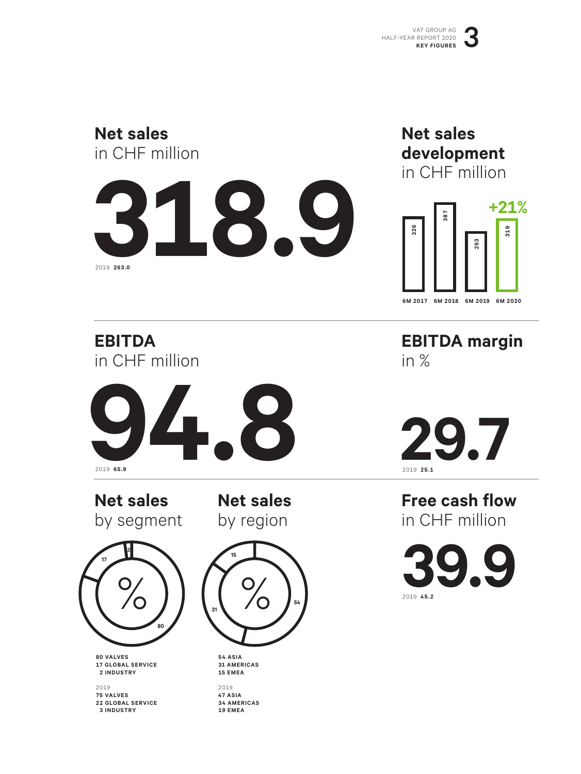#### **Net sales** in CHF million



#### **Net sales development** in CHF million



**EBITDA** in CHF million



**Net sales**  by segment

**Net sales**  by region



**80 VALVES 17 GLOBAL SERVICE 2 INDUSTRY**

2019 **75 VALVES 22 GLOBAL SERVICE 3 INDUSTRY**



**54 ASIA 31 AMERICAS 15 EMEA**

2019 **47 ASIA 34 AMERICAS 19 EMEA**

**EBITDA margin** in %

**29.7**

**Free cash flow** in CHF million

**39.9** 2019 **45.2**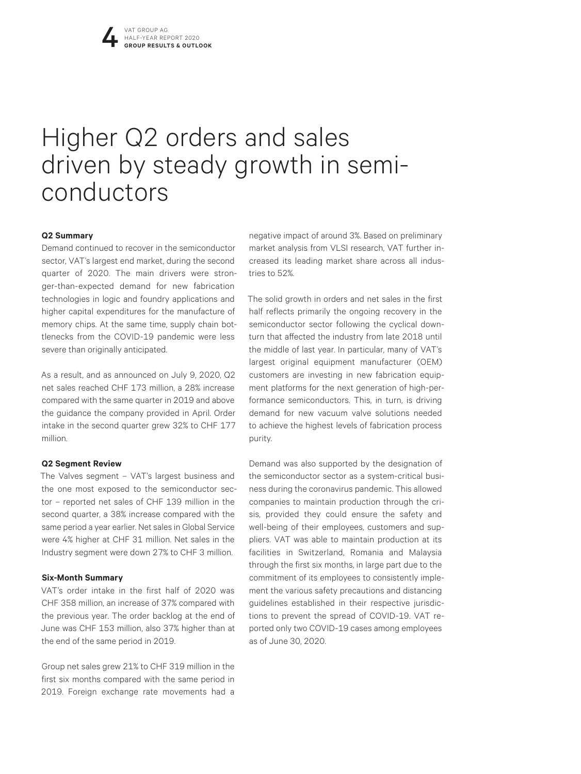## Higher Q2 orders and sales driven by steady growth in semi- conductors

#### **Q2 Summary**

Demand continued to recover in the semiconductor sector, VAT's largest end market, during the second quarter of 2020. The main drivers were stronger-than-expected demand for new fabrication technologies in logic and foundry applications and higher capital expenditures for the manufacture of memory chips. At the same time, supply chain bottlenecks from the COVID-19 pandemic were less severe than originally anticipated.

As a result, and as announced on July 9, 2020, Q2 net sales reached CHF 173 million, a 28% increase compared with the same quarter in 2019 and above the guidance the company provided in April. Order intake in the second quarter grew 32% to CHF 177 million.

#### **Q2 Segment Review**

The Valves segment – VAT's largest business and the one most exposed to the semiconductor sector – reported net sales of CHF 139 million in the second quarter, a 38% increase compared with the same period a year earlier. Net sales in Global Service were 4% higher at CHF 31 million. Net sales in the Industry segment were down 27% to CHF 3 million.

#### **Six-Month Summary**

VAT's order intake in the first half of 2020 was CHF 358 million, an increase of 37% compared with the previous year. The order backlog at the end of June was CHF 153 million, also 37% higher than at the end of the same period in 2019.

Group net sales grew 21% to CHF 319 million in the first six months compared with the same period in 2019. Foreign exchange rate movements had a

negative impact of around 3%. Based on preliminary market analysis from VLSI research, VAT further increased its leading market share across all industries to 52%.

The solid growth in orders and net sales in the first half reflects primarily the ongoing recovery in the semiconductor sector following the cyclical downturn that affected the industry from late 2018 until the middle of last year. In particular, many of VAT's largest original equipment manufacturer (OEM) customers are investing in new fabrication equipment platforms for the next generation of high-performance semiconductors. This, in turn, is driving demand for new vacuum valve solutions needed to achieve the highest levels of fabrication process purity.

Demand was also supported by the designation of the semiconductor sector as a system-critical business during the coronavirus pandemic. This allowed companies to maintain production through the crisis, provided they could ensure the safety and well-being of their employees, customers and suppliers. VAT was able to maintain production at its facilities in Switzerland, Romania and Malaysia through the first six months, in large part due to the commitment of its employees to consistently implement the various safety precautions and distancing guidelines established in their respective jurisdictions to prevent the spread of COVID-19. VAT reported only two COVID-19 cases among employees as of June 30, 2020.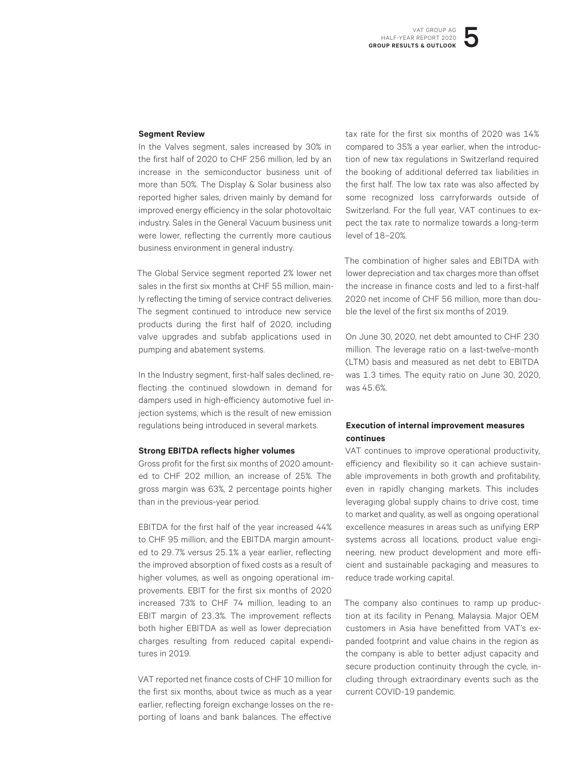#### **Segment Review**

In the Valves segment, sales increased by 30% in the first half of 2020 to CHF 256 million, led by an increase in the semiconductor business unit of more than 50%. The Display & Solar business also reported higher sales, driven mainly by demand for improved energy efficiency in the solar photovoltaic industry. Sales in the General Vacuum business unit were lower, reflecting the currently more cautious business environment in general industry.

The Global Service segment reported 2% lower net sales in the first six months at CHF 55 million, mainly reflecting the timing of service contract deliveries. The segment continued to introduce new service products during the first half of 2020, including valve upgrades and subfab applications used in pumping and abatement systems.

In the Industry segment, first-half sales declined, reflecting the continued slowdown in demand for dampers used in high-efficiency automotive fuel injection systems, which is the result of new emission regulations being introduced in several markets.

#### **Strong EBITDA reflects higher volumes**

Gross profit for the first six months of 2020 amounted to CHF 202 million, an increase of 25%. The gross margin was 63%, 2 percentage points higher than in the previous-year period.

EBITDA for the first half of the year increased 44% to CHF 95 million, and the EBITDA margin amounted to 29.7% versus 25.1% a year earlier, reflecting the improved absorption of fixed costs as a result of higher volumes, as well as ongoing operational improvements. EBIT for the first six months of 2020 increased 73% to CHF 74 million, leading to an EBIT margin of 23.3%. The improvement reflects both higher EBITDA as well as lower depreciation charges resulting from reduced capital expenditures in 2019.

VAT reported net finance costs of CHF 10 million for the first six months, about twice as much as a year earlier, reflecting foreign exchange losses on the reporting of loans and bank balances. The effective

tax rate for the first six months of 2020 was 14% compared to 35% a year earlier, when the introduction of new tax regulations in Switzerland required the booking of additional deferred tax liabilities in the first half. The low tax rate was also affected by some recognized loss carryforwards outside of Switzerland. For the full year, VAT continues to expect the tax rate to normalize towards a long-term level of 18–20%.

The combination of higher sales and EBITDA with lower depreciation and tax charges more than offset the increase in finance costs and led to a first-half 2020 net income of CHF 56 million, more than double the level of the first six months of 2019.

On June 30, 2020, net debt amounted to CHF 230 million. The leverage ratio on a last-twelve-month (LTM) basis and measured as net debt to EBITDA was 1.3 times. The equity ratio on June 30, 2020, was 45.6%.

#### **Execution of internal improvement measures continues**

VAT continues to improve operational productivity, efficiency and flexibility so it can achieve sustainable improvements in both growth and profitability, even in rapidly changing markets. This includes leveraging global supply chains to drive cost, time to market and quality, as well as ongoing operational excellence measures in areas such as unifying ERP systems across all locations, product value engineering, new product development and more efficient and sustainable packaging and measures to reduce trade working capital.

The company also continues to ramp up production at its facility in Penang, Malaysia. Major OEM customers in Asia have benefitted from VAT's expanded footprint and value chains in the region as the company is able to better adjust capacity and secure production continuity through the cycle, including through extraordinary events such as the current COVID-19 pandemic.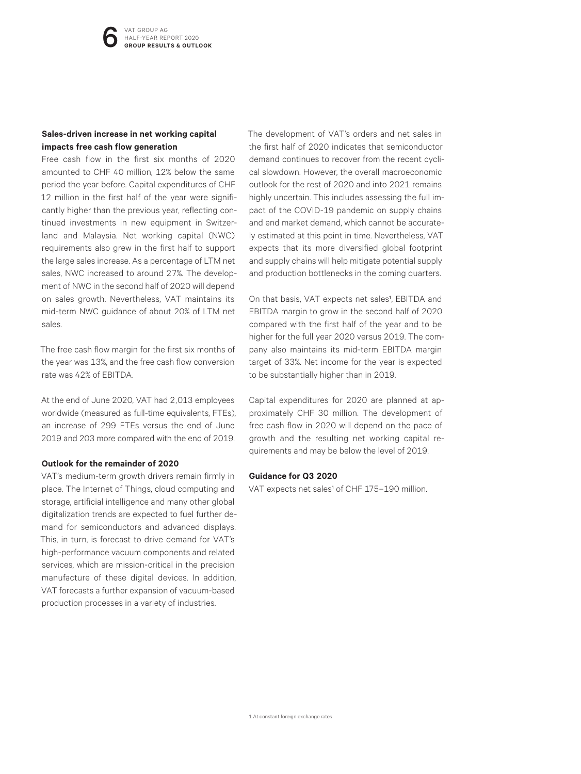#### **Sales-driven increase in net working capital impacts free cash flow generation**

Free cash flow in the first six months of 2020 amounted to CHF 40 million, 12% below the same period the year before. Capital expenditures of CHF 12 million in the first half of the year were significantly higher than the previous year, reflecting continued investments in new equipment in Switzerland and Malaysia. Net working capital (NWC) requirements also grew in the first half to support the large sales increase. As a percentage of LTM net sales, NWC increased to around 27%. The development of NWC in the second half of 2020 will depend on sales growth. Nevertheless, VAT maintains its mid-term NWC guidance of about 20% of LTM net sales.

The free cash flow margin for the first six months of the year was 13%, and the free cash flow conversion rate was 42% of EBITDA.

At the end of June 2020, VAT had 2,013 employees worldwide (measured as full-time equivalents, FTEs), an increase of 299 FTEs versus the end of June 2019 and 203 more compared with the end of 2019.

#### **Outlook for the remainder of 2020**

VAT's medium-term growth drivers remain firmly in place. The Internet of Things, cloud computing and storage, artificial intelligence and many other global digitalization trends are expected to fuel further demand for semiconductors and advanced displays. This, in turn, is forecast to drive demand for VAT's high-performance vacuum components and related services, which are mission-critical in the precision manufacture of these digital devices. In addition, VAT forecasts a further expansion of vacuum-based production processes in a variety of industries.

The development of VAT's orders and net sales in the first half of 2020 indicates that semiconductor demand continues to recover from the recent cyclical slowdown. However, the overall macroeconomic outlook for the rest of 2020 and into 2021 remains highly uncertain. This includes assessing the full impact of the COVID-19 pandemic on supply chains and end market demand, which cannot be accurately estimated at this point in time. Nevertheless, VAT expects that its more diversified global footprint and supply chains will help mitigate potential supply and production bottlenecks in the coming quarters.

On that basis, VAT expects net sales<sup>1</sup>, EBITDA and EBITDA margin to grow in the second half of 2020 compared with the first half of the year and to be higher for the full year 2020 versus 2019. The company also maintains its mid-term EBITDA margin target of 33%. Net income for the year is expected to be substantially higher than in 2019.

Capital expenditures for 2020 are planned at approximately CHF 30 million. The development of free cash flow in 2020 will depend on the pace of growth and the resulting net working capital requirements and may be below the level of 2019.

#### **Guidance for Q3 2020**

VAT expects net sales<sup>1</sup> of CHF 175-190 million.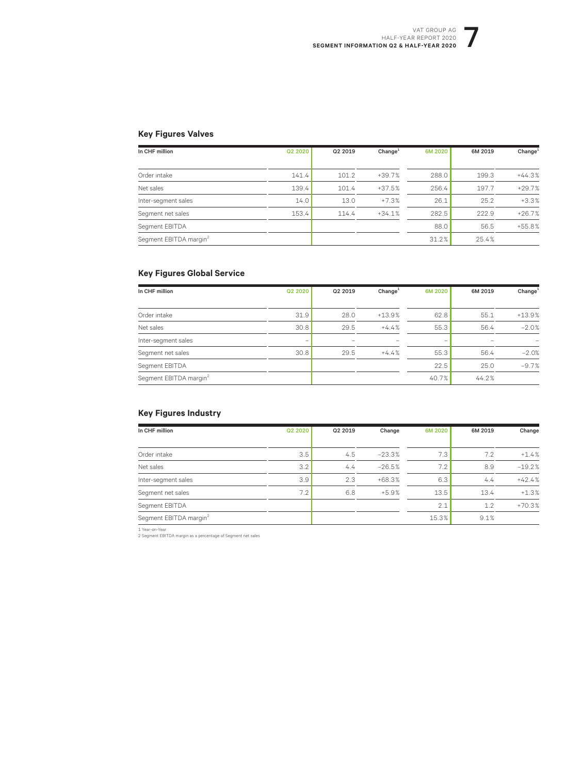#### VAT GROUP AG<br>R REPORT 2020<br>NLF-YEAR 2020 HALF-YEAR REPORT 2020 **SEGMENT INFORMATION Q2 & HALF-YEAR 2020**

#### **Key Figures Valves**

| In CHF million                     | Q2 2020 | Q2 2019 | Change <sup>1</sup> | 6M 2020 | 6M 2019 | Change <sup>1</sup> |
|------------------------------------|---------|---------|---------------------|---------|---------|---------------------|
|                                    |         |         |                     |         |         |                     |
| Order intake                       | 141.4   | 101.2   | $+39.7%$            | 288.0   | 199.3   | $+44.3%$            |
| Net sales                          | 139.4   | 101.4   | $+37.5%$            | 256.4   | 197.7   | $+29.7%$            |
| Inter-segment sales                | 14.0    | 13.0    | $+7.3%$             | 26.1    | 25.2    | $+3.3%$             |
| Segment net sales                  | 153.4   | 114.4   | $+34.1%$            | 282.5   | 222.9   | $+26.7%$            |
| Segment EBITDA                     |         |         |                     | 88.0    | 56.5    | $+55.8%$            |
| Segment EBITDA margin <sup>2</sup> |         |         |                     | 31.2%   | 25.4%   |                     |

#### **Key Figures Global Service**

| In CHF million                     | Q2 2020                  | Q2 2019 | Change <sup>1</sup> | 6M 2020 | 6M 2019 | Change <sup>1</sup> |
|------------------------------------|--------------------------|---------|---------------------|---------|---------|---------------------|
|                                    |                          |         |                     |         |         |                     |
| Order intake                       | 31.9                     | 28.0    | $+13.9%$            | 62.8    | 55.1    | $+13.9%$            |
| Net sales                          | 30.8                     | 29.5    | $+4.4%$             | 55.3    | 56.4    | $-2.0%$             |
| Inter-segment sales                | $\overline{\phantom{a}}$ |         |                     | -       |         |                     |
| Segment net sales                  | 30.8                     | 29.5    | $+4.4%$             | 55.3    | 56.4    | $-2.0%$             |
| Segment EBITDA                     |                          |         |                     | 22.5    | 25.0    | $-9.7%$             |
| Segment EBITDA margin <sup>2</sup> |                          |         |                     | 40.7%   | 44.2%   |                     |

#### **Key Figures Industry**

| In CHF million                     | Q2 2020 | Q2 2019 | Change   | 6M 2020 | 6M 2019 | Change   |
|------------------------------------|---------|---------|----------|---------|---------|----------|
|                                    |         |         |          |         |         |          |
| Order intake                       | 3.5     | 4.5     | $-23.3%$ | 7.3     | 7.2     | $+1.4%$  |
| Net sales                          | 3.2     | 4.4     | $-26.5%$ | 7.2     | 8.9     | $-19.2%$ |
| Inter-segment sales                | 3.9     | 2.3     | $+68.3%$ | 6.3     | 4.4     | $+42.4%$ |
| Segment net sales                  | 7.2     | 6.8     | $+5.9%$  | 13.5    | 13.4    | $+1.3%$  |
| Segment EBITDA                     |         |         |          | 2.1     | 1.2     | $+70.3%$ |
| Segment EBITDA margin <sup>2</sup> |         |         |          | 15.3%   | 9.1%    |          |

1 Year-on-Year 2 Segment EBITDA margin as a percentage of Segment net sales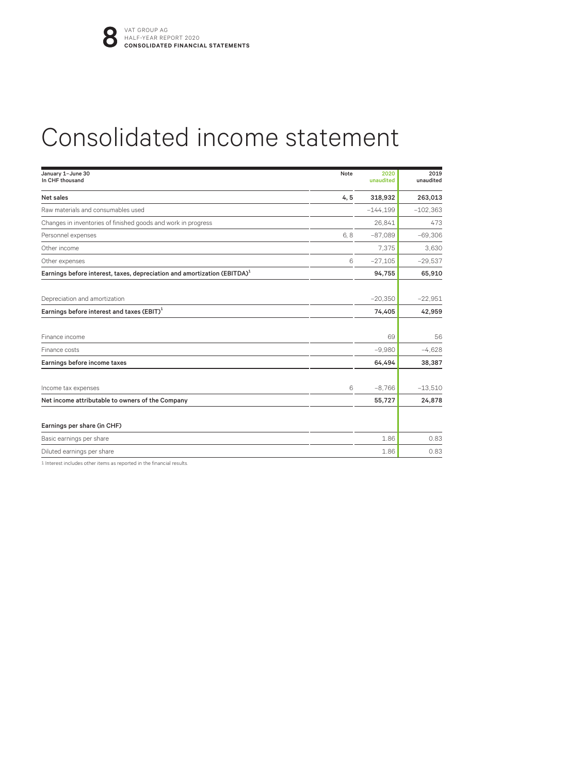## Consolidated income statement

| January 1-June 30<br>In CHF thousand                                                 | Note | 2020<br>unaudited | 2019<br>unaudited |
|--------------------------------------------------------------------------------------|------|-------------------|-------------------|
| Net sales                                                                            | 4, 5 | 318,932           | 263,013           |
| Raw materials and consumables used                                                   |      | $-144.199$        | $-102.363$        |
| Changes in inventories of finished goods and work in progress                        |      | 26,841            | 473               |
| Personnel expenses                                                                   | 6,8  | $-87,089$         | $-69,306$         |
| Other income                                                                         |      | 7.375             | 3.630             |
| Other expenses                                                                       | 6    | $-27,105$         | $-29.537$         |
| Earnings before interest, taxes, depreciation and amortization (EBITDA) <sup>1</sup> |      | 94,755            | 65,910            |
| Depreciation and amortization                                                        |      | $-20,350$         | $-22.951$         |
| Earnings before interest and taxes $(EBIT)^1$                                        |      | 74,405            | 42,959            |
| Finance income                                                                       |      | 69                | 56                |
| Finance costs                                                                        |      | $-9,980$          | $-4,628$          |
| Earnings before income taxes                                                         |      | 64,494            | 38,387            |
| Income tax expenses                                                                  | 6    | $-8.766$          | $-13,510$         |
| Net income attributable to owners of the Company                                     |      | 55,727            | 24,878            |
| Earnings per share (in CHF)                                                          |      |                   |                   |
| Basic earnings per share                                                             |      | 1.86              | 0.83              |
| Diluted earnings per share                                                           |      | 1.86              | 0.83              |

1 Interest includes other items as reported in the financial results.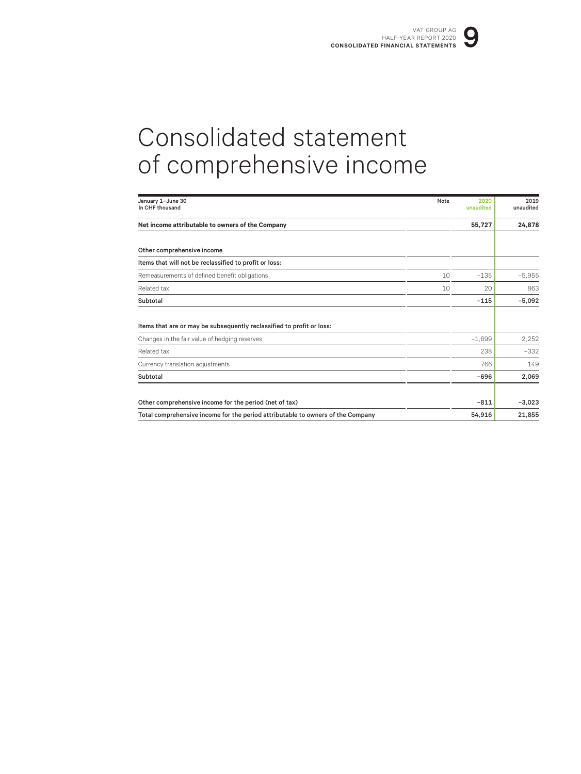## Consolidated statement of comprehensive income

| January 1-June 30<br>In CHF thousand                                            | Note | 2020<br>unaudited | 2019<br>unaudited |
|---------------------------------------------------------------------------------|------|-------------------|-------------------|
| Net income attributable to owners of the Company                                |      | 55,727            | 24,878            |
| Other comprehensive income                                                      |      |                   |                   |
| Items that will not be reclassified to profit or loss:                          |      |                   |                   |
| Remeasurements of defined benefit obligations                                   | 10   | $-135$            | $-5,955$          |
| Related tax                                                                     | 10   | 20                | 863               |
| Subtotal                                                                        |      | $-115$            | $-5,092$          |
|                                                                                 |      |                   |                   |
| Items that are or may be subsequently reclassified to profit or loss:           |      |                   |                   |
| Changes in the fair value of hedging reserves                                   |      | $-1.699$          | 2.252             |
| Related tax                                                                     |      | 238               | $-332$            |
| Currency translation adjustments                                                |      | 766               | 149               |
| Subtotal                                                                        |      | $-696$            | 2,069             |
|                                                                                 |      |                   |                   |
| Other comprehensive income for the period (net of tax)                          |      | $-811$            | $-3,023$          |
| Total comprehensive income for the period attributable to owners of the Company |      | 54.916            | 21,855            |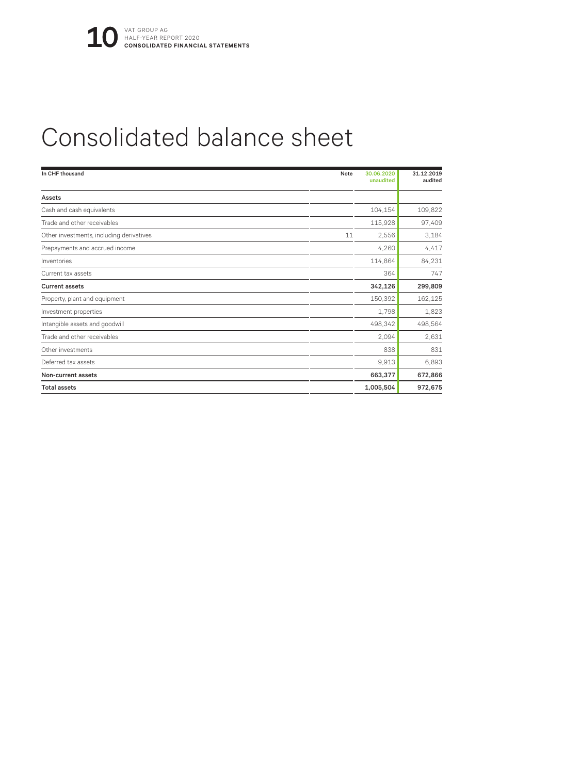## Consolidated balance sheet

| In CHF thousand                          | Note | 30.06.2020<br>unaudited | 31.12.2019<br>audited |
|------------------------------------------|------|-------------------------|-----------------------|
| Assets                                   |      |                         |                       |
| Cash and cash equivalents                |      | 104,154                 | 109,822               |
| Trade and other receivables              |      | 115,928                 | 97,409                |
| Other investments, including derivatives | 11   | 2,556                   | 3,184                 |
| Prepayments and accrued income           |      | 4,260                   | 4,417                 |
| Inventories                              |      | 114,864                 | 84,231                |
| Current tax assets                       |      | 364                     | 747                   |
| <b>Current assets</b>                    |      | 342,126                 | 299,809               |
| Property, plant and equipment            |      | 150,392                 | 162,125               |
| Investment properties                    |      | 1,798                   | 1,823                 |
| Intangible assets and goodwill           |      | 498,342                 | 498,564               |
| Trade and other receivables              |      | 2,094                   | 2,631                 |
| Other investments                        |      | 838                     | 831                   |
| Deferred tax assets                      |      | 9,913                   | 6,893                 |
| Non-current assets                       |      | 663,377                 | 672,866               |
| <b>Total assets</b>                      |      | 1,005,504               | 972,675               |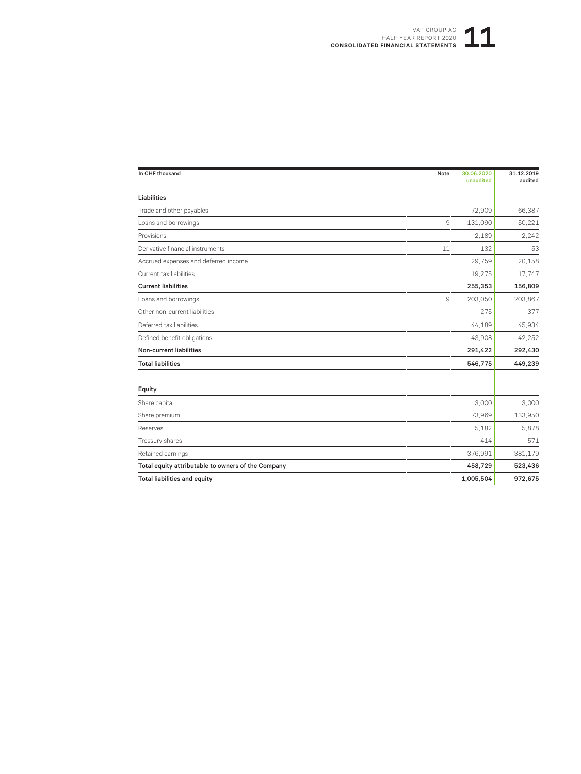#### VAT GROUP AG<br>R REPORT 2020<br>**STATEMENTS** HALF-YEAR REPORT 2020 **CONSOLIDATED FINANCIAL STATEMENTS**

| In CHF thousand                                    | Note          | 30.06.2020<br>unaudited | 31.12.2019<br>audited |
|----------------------------------------------------|---------------|-------------------------|-----------------------|
| Liabilities                                        |               |                         |                       |
| Trade and other payables                           |               | 72,909                  | 66,387                |
| Loans and borrowings                               | 9             | 131,090                 | 50,221                |
| Provisions                                         |               | 2.189                   | 2,242                 |
| Derivative financial instruments                   | 11            | 132                     | 53                    |
| Accrued expenses and deferred income               |               | 29,759                  | 20,158                |
| Current tax liabilities                            |               | 19,275                  | 17,747                |
| <b>Current liabilities</b>                         |               | 255,353                 | 156,809               |
| Loans and borrowings                               | $\mathcal{Q}$ | 203,050                 | 203,867               |
| Other non-current liabilities                      |               | 275                     | 377                   |
| Deferred tax liabilities                           |               | 44,189                  | 45,934                |
| Defined benefit obligations                        |               | 43,908                  | 42,252                |
| <b>Non-current liabilities</b>                     |               | 291,422                 | 292,430               |
| <b>Total liabilities</b>                           |               | 546,775                 | 449,239               |
| Equity                                             |               |                         |                       |
| Share capital                                      |               | 3,000                   | 3.000                 |
| Share premium                                      |               | 73,969                  | 133,950               |
| Reserves                                           |               | 5.182                   | 5,878                 |
| Treasury shares                                    |               | $-414$                  | $-571$                |
| Retained earnings                                  |               | 376,991                 | 381,179               |
| Total equity attributable to owners of the Company |               | 458,729                 | 523,436               |
| <b>Total liabilities and equity</b>                |               | 1,005,504               | 972,675               |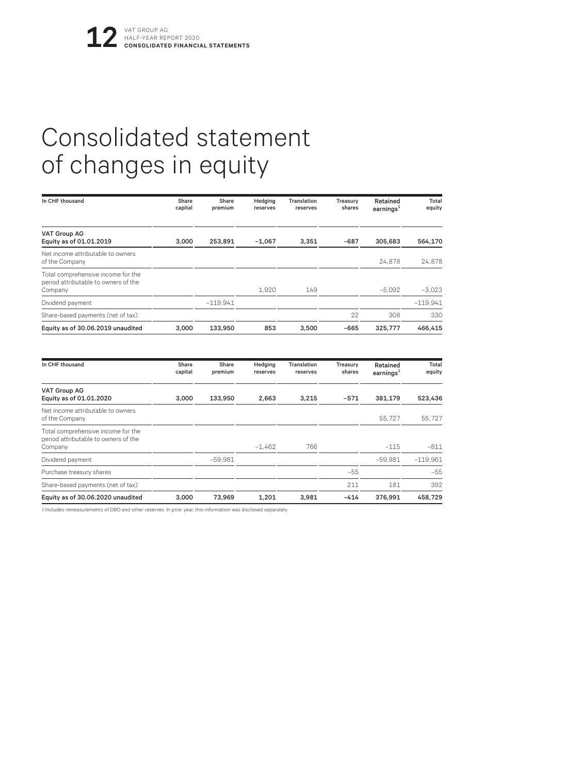## Consolidated statement of changes in equity

| In CHF thousand                                                                       | Share<br>capital | Share<br>premium | Hedging<br>reserves | Translation<br>reserves | Treasury<br>shares | Retained<br>earnings <sup>1</sup> | Total<br>equity |
|---------------------------------------------------------------------------------------|------------------|------------------|---------------------|-------------------------|--------------------|-----------------------------------|-----------------|
| <b>VAT Group AG</b><br>Equity as of 01.01.2019                                        | 3,000            | 253,891          | $-1,067$            | 3,351                   | $-687$             | 305,683                           | 564,170         |
| Net income attributable to owners<br>of the Company                                   |                  |                  |                     |                         |                    | 24.878                            | 24,878          |
| Total comprehensive income for the<br>period attributable to owners of the<br>Company |                  |                  | 1,920               | 149                     |                    | $-5.092$                          | $-3.023$        |
| Dividend payment                                                                      |                  | $-119.941$       |                     |                         |                    |                                   | $-119.941$      |
| Share-based payments (net of tax)                                                     |                  |                  |                     |                         | 22                 | 308                               | 330             |
| Equity as of 30.06.2019 unaudited                                                     | 3.000            | 133.950          | 853                 | 3.500                   | $-665$             | 325,777                           | 466.415         |
| In CHF thousand                                                                       | Share<br>capital | Share<br>premium | Hedging<br>reserves | Translation<br>reserves | Treasury<br>shares | Retained<br>earnings $1$          | Total<br>equity |
| <b>VAT Group AG</b><br>Equity as of 01.01.2020                                        | 3.000            | 133,950          | 2.663               | 3,215                   | $-571$             | 381,179                           | 523,436         |
| Net income attributable to owners<br>of the Company                                   |                  |                  |                     |                         |                    | 55,727                            | 55,727          |
| Total comprehensive income for the<br>period attributable to owners of the<br>Company |                  |                  | $-1.462$            | 766                     |                    | $-115$                            | $-811$          |
| Dividend payment                                                                      |                  | $-59.981$        |                     |                         |                    | $-59.981$                         | $-119.961$      |
| Purchase treasury shares                                                              |                  |                  |                     |                         | $-55$              |                                   | $-55$           |
| Share-based payments (net of tax)                                                     |                  |                  |                     |                         | 211                | 181                               | 392             |
| Equity as of 30.06.2020 unaudited                                                     | 3.000            | 73.969           | 1.201               | 3.981                   | $-414$             | 376.991                           | 458.729         |

1 Includes remeasurements of DBO and other reserves. In prior year, this information was disclosed separately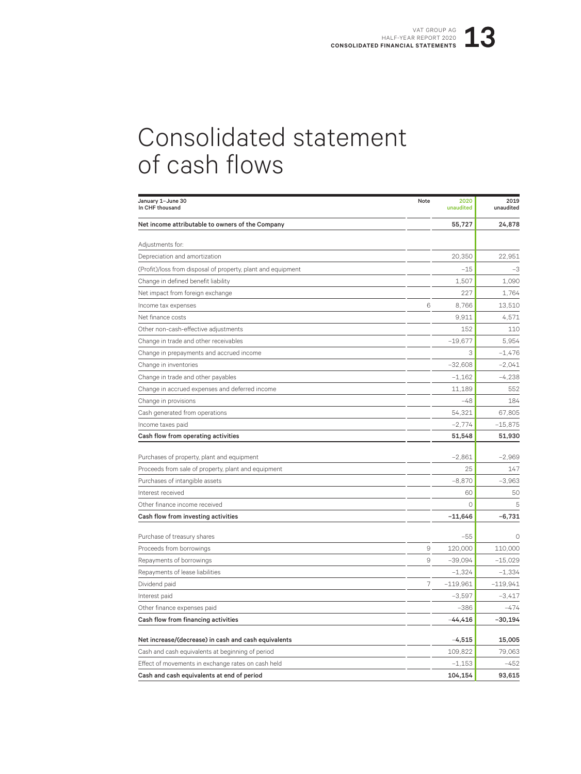## Consolidated statement of cash flows

| January 1-June 30<br>In CHF thousand                         | Note               | 2020<br>unaudited | 2019<br>unaudited |
|--------------------------------------------------------------|--------------------|-------------------|-------------------|
| Net income attributable to owners of the Company             |                    | 55,727            | 24,878            |
| Adjustments for:                                             |                    |                   |                   |
| Depreciation and amortization                                |                    | 20,350            | 22,951            |
| (Profit)/loss from disposal of property, plant and equipment |                    | $-15$             | $-3$              |
| Change in defined benefit liability                          |                    | 1,507             | 1,090             |
| Net impact from foreign exchange                             |                    | 227               | 1,764             |
| Income tax expenses                                          | $\,$ 6             | 8,766             | 13,510            |
| Net finance costs                                            |                    | 9.911             | 4,571             |
| Other non-cash-effective adjustments                         |                    | 152               | 110               |
| Change in trade and other receivables                        |                    | $-19,677$         | 5.954             |
| Change in prepayments and accrued income                     |                    | 3                 | $-1,476$          |
| Change in inventories                                        |                    | $-32,608$         | $-2.041$          |
| Change in trade and other payables                           |                    | $-1,162$          | $-4,238$          |
| Change in accrued expenses and deferred income               |                    | 11,189            | 552               |
| Change in provisions                                         |                    | $-48$             | 184               |
| Cash generated from operations                               |                    | 54,321            | 67,805            |
| Income taxes paid                                            |                    | $-2,774$          | $-15,875$         |
| Cash flow from operating activities                          |                    | 51,548            | 51,930            |
|                                                              |                    |                   |                   |
| Purchases of property, plant and equipment                   |                    | $-2,861$          | $-2,969$          |
| Proceeds from sale of property, plant and equipment          |                    | 25                | 147               |
| Purchases of intangible assets                               |                    | $-8,870$          | $-3,963$          |
| Interest received                                            |                    | 60                | 50                |
| Other finance income received                                |                    | $\Omega$          | 5                 |
| Cash flow from investing activities                          |                    | $-11,646$         | $-6,731$          |
| Purchase of treasury shares                                  |                    | $-55$             | $\Omega$          |
| Proceeds from borrowings                                     | $\hbox{ }^{\rm 9}$ | 120,000           | 110,000           |
| Repayments of borrowings                                     | $\overline{9}$     | $-39,094$         | $-15,029$         |
| Repayments of lease liabilities                              |                    | $-1,324$          | $-1,334$          |
| Dividend paid                                                | 7                  | $-119,961$        | $-119,941$        |
| Interest paid                                                |                    | $-3,597$          | $-3,417$          |
| Other finance expenses paid                                  |                    | $-386$            | $-474$            |
| Cash flow from financing activities                          |                    | $-44,416$         | $-30,194$         |
| Net increase/(decrease) in cash and cash equivalents         |                    | $-4,515$          | 15,005            |
| Cash and cash equivalents at beginning of period             |                    | 109,822           | 79,063            |
| Effect of movements in exchange rates on cash held           |                    | $-1,153$          | $-452$            |
| Cash and cash equivalents at end of period                   |                    | 104,154           | 93,615            |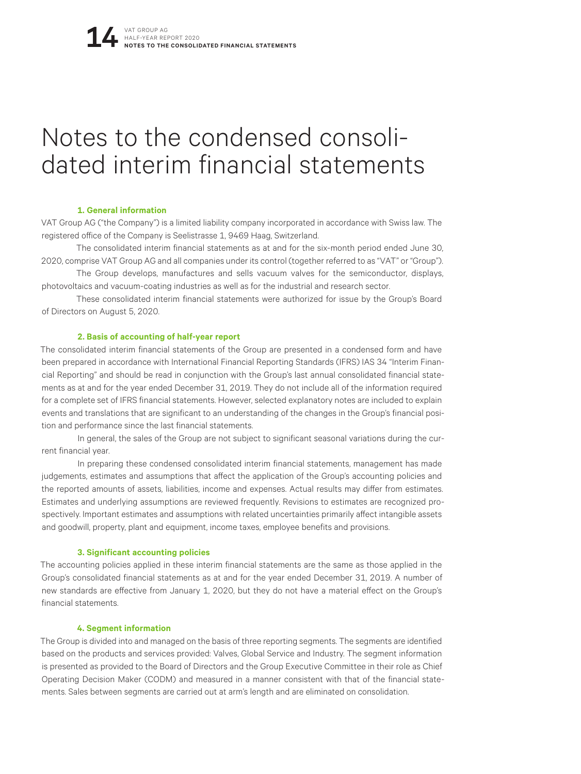## Notes to the condensed consoli- dated interim financial statements

#### **1. General information**

VAT Group AG ("the Company") is a limited liability company incorporated in accordance with Swiss law. The registered office of the Company is Seelistrasse 1, 9469 Haag, Switzerland.

The consolidated interim financial statements as at and for the six-month period ended June 30, 2020, comprise VAT Group AG and all companies under its control (together referred to as "VAT" or "Group").

The Group develops, manufactures and sells vacuum valves for the semiconductor, displays, photovoltaics and vacuum-coating industries as well as for the industrial and research sector.

These consolidated interim financial statements were authorized for issue by the Group's Board of Directors on August 5, 2020.

#### **2. Basis of accounting of half-year report**

The consolidated interim financial statements of the Group are presented in a condensed form and have been prepared in accordance with International Financial Reporting Standards (IFRS) IAS 34 "Interim Financial Reporting" and should be read in conjunction with the Group's last annual consolidated financial statements as at and for the year ended December 31, 2019. They do not include all of the information required for a complete set of IFRS financial statements. However, selected explanatory notes are included to explain events and translations that are significant to an understanding of the changes in the Group's financial position and performance since the last financial statements.

In general, the sales of the Group are not subject to significant seasonal variations during the current financial year.

In preparing these condensed consolidated interim financial statements, management has made judgements, estimates and assumptions that affect the application of the Group's accounting policies and the reported amounts of assets, liabilities, income and expenses. Actual results may differ from estimates. Estimates and underlying assumptions are reviewed frequently. Revisions to estimates are recognized prospectively. Important estimates and assumptions with related uncertainties primarily affect intangible assets and goodwill, property, plant and equipment, income taxes, employee benefits and provisions.

#### **3. Significant accounting policies**

The accounting policies applied in these interim financial statements are the same as those applied in the Group's consolidated financial statements as at and for the year ended December 31, 2019. A number of new standards are effective from January 1, 2020, but they do not have a material effect on the Group's financial statements.

#### **4. Segment information**

The Group is divided into and managed on the basis of three reporting segments. The segments are identified based on the products and services provided: Valves, Global Service and Industry. The segment information is presented as provided to the Board of Directors and the Group Executive Committee in their role as Chief Operating Decision Maker (CODM) and measured in a manner consistent with that of the financial statements. Sales between segments are carried out at arm's length and are eliminated on consolidation.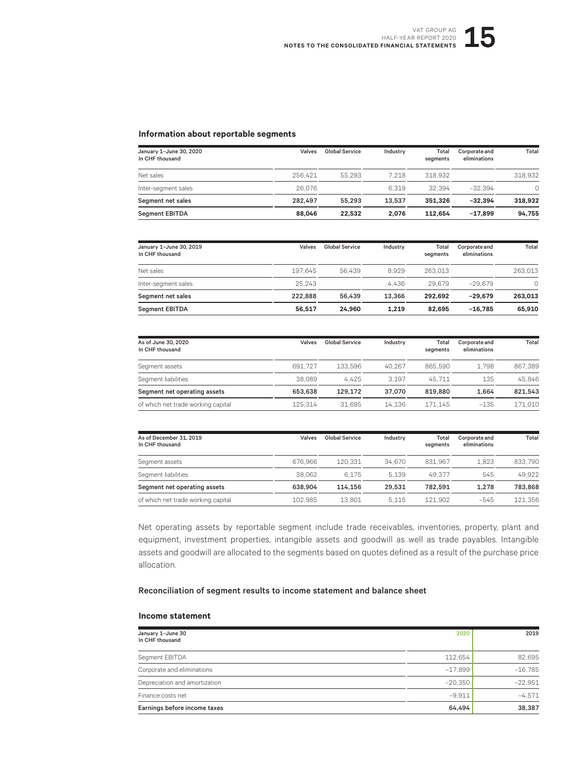#### **Information about reportable segments**

| January 1-June 30, 2020<br>In CHF thousand | Valves  | Global Service | Industry | Total<br>seaments | Corporate and<br>eliminations | Total   |
|--------------------------------------------|---------|----------------|----------|-------------------|-------------------------------|---------|
| Net sales                                  | 256.421 | 55.293         | 7.218    | 318.932           |                               | 318.932 |
| Inter-segment sales                        | 26.076  |                | 6.319    | 32.394            | $-32.394$                     | Ω       |
| Segment net sales                          | 282.497 | 55.293         | 13.537   | 351,326           | $-32.394$                     | 318.932 |
| <b>Segment EBITDA</b>                      | 88.046  | 22.532         | 2.076    | 112.654           | $-17.899$                     | 94.755  |

| January 1-June 30, 2019<br>In CHF thousand | Valves  | <b>Global Service</b> | Industry | Total<br>segments | Corporate and<br>eliminations | Total   |
|--------------------------------------------|---------|-----------------------|----------|-------------------|-------------------------------|---------|
| Net sales                                  | 197.645 | 56.439                | 8.929    | 263.013           |                               | 263.013 |
| Inter-segment sales                        | 25.243  |                       | 4.436    | 29.679            | $-29.679$                     | $\cap$  |
| Segment net sales                          | 222.888 | 56.439                | 13.366   | 292.692           | $-29.679$                     | 263.013 |
| <b>Segment EBITDA</b>                      | 56.517  | 24.960                | 1.219    | 82.695            | $-16.785$                     | 65.910  |

| As of June 30, 2020<br>In CHF thousand | Valves  | <b>Global Service</b> | Industry | Total<br>seaments | Corporate and<br>eliminations | Total   |
|----------------------------------------|---------|-----------------------|----------|-------------------|-------------------------------|---------|
| Segment assets                         | 691.727 | 133.596               | 40.267   | 865.590           | 1.798                         | 867.389 |
| Segment liabilities                    | 38.089  | 4.425                 | 3.197    | 45.711            | 135                           | 45.846  |
| Segment net operating assets           | 653.638 | 129.172               | 37,070   | 819.880           | 1.664                         | 821.543 |
| of which net trade working capital     | 125.314 | 31.695                | 14.136   | 171.145           | $-135$                        | 171.010 |

| As of December 31, 2019<br>In CHF thousand | Valves  | Global Service | Industry | Total<br>seaments | Corporate and<br>eliminations | Total   |
|--------------------------------------------|---------|----------------|----------|-------------------|-------------------------------|---------|
| Segment assets                             | 676.966 | 120.331        | 34.670   | 831.967           | 1.823                         | 833.790 |
| Segment liabilities                        | 38.062  | 6.175          | 5.139    | 49.377            | 545                           | 49.922  |
| Segment net operating assets               | 638.904 | 114.156        | 29.531   | 782.591           | 1.278                         | 783.868 |
| of which net trade working capital         | 102.985 | 13.801         | 5.115    | 121.902           | $-545$                        | 121.356 |

Net operating assets by reportable segment include trade receivables, inventories, property, plant and equipment, investment properties, intangible assets and goodwill as well as trade payables. Intangible assets and goodwill are allocated to the segments based on quotes defined as a result of the purchase price allocation.

#### Reconciliation of segment results to income statement and balance sheet

#### **Income statement**

| January 1-June 30<br>In CHF thousand | 2020      | 2019      |
|--------------------------------------|-----------|-----------|
| Segment EBITDA                       | 112.654   | 82,695    |
| Corporate and eliminations           | $-17.899$ | $-16,785$ |
| Depreciation and amortization        | $-20.350$ | $-22,951$ |
| Finance costs net                    | $-9.911$  | $-4.571$  |
| Earnings before income taxes         | 64,494    | 38.387    |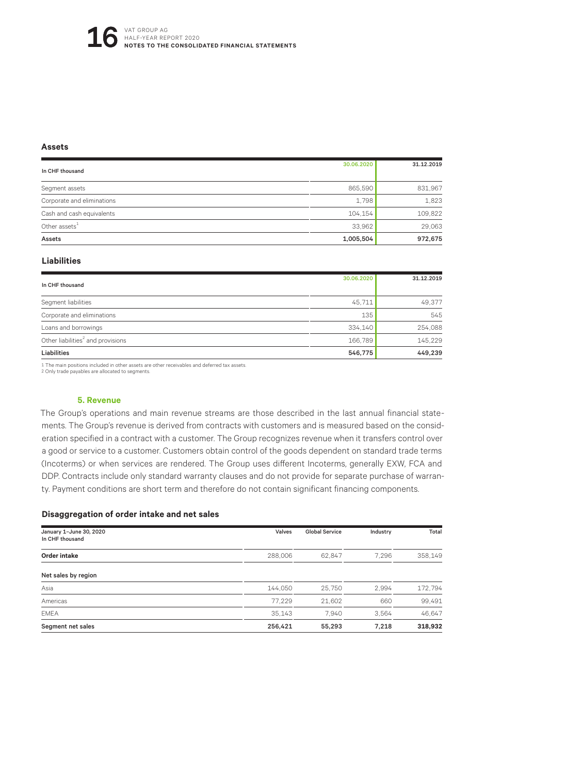#### **Assets**

| In CHF thousand            | 30.06.2020 | 31.12.2019 |
|----------------------------|------------|------------|
|                            | 865,590    | 831,967    |
| Segment assets             |            |            |
| Corporate and eliminations | 1,798      | 1,823      |
| Cash and cash equivalents  | 104.154    | 109,822    |
| Other assets $1$           | 33,962     | 29,063     |
| Assets                     | 1,005,504  | 972,675    |

#### **Liabilities**

|                                               | 30.06.2020 | 31.12.2019 |
|-----------------------------------------------|------------|------------|
| In CHF thousand                               |            |            |
| Segment liabilities                           | 45,711     | 49.377     |
| Corporate and eliminations                    | 135        | 545        |
| Loans and borrowings                          | 334.140    | 254,088    |
| Other liabilities <sup>2</sup> and provisions | 166,789    | 145,229    |
| Liabilities                                   | 546,775    | 449,239    |

1 The main positions included in other assets are other receivables and deferred tax assets.

2 Only trade payables are allocated to segments.

#### **5. Revenue**

The Group's operations and main revenue streams are those described in the last annual financial statements. The Group's revenue is derived from contracts with customers and is measured based on the consideration specified in a contract with a customer. The Group recognizes revenue when it transfers control over a good or service to a customer. Customers obtain control of the goods dependent on standard trade terms (Incoterms) or when services are rendered. The Group uses different Incoterms, generally EXW, FCA and DDP. Contracts include only standard warranty clauses and do not provide for separate purchase of warranty. Payment conditions are short term and therefore do not contain significant financing components.

#### **Disaggregation of order intake and net sales**

| January 1-June 30, 2020<br>In CHF thousand | Valves  | <b>Global Service</b> | Industry | Total   |
|--------------------------------------------|---------|-----------------------|----------|---------|
| Order intake                               | 288,006 | 62.847                | 7.296    | 358.149 |
| Net sales by region                        |         |                       |          |         |
| Asia                                       | 144.050 | 25.750                | 2.994    | 172,794 |
| Americas                                   | 77.229  | 21,602                | 660      | 99,491  |
| <b>EMEA</b>                                | 35.143  | 7.940                 | 3.564    | 46,647  |
| Segment net sales                          | 256,421 | 55.293                | 7.218    | 318,932 |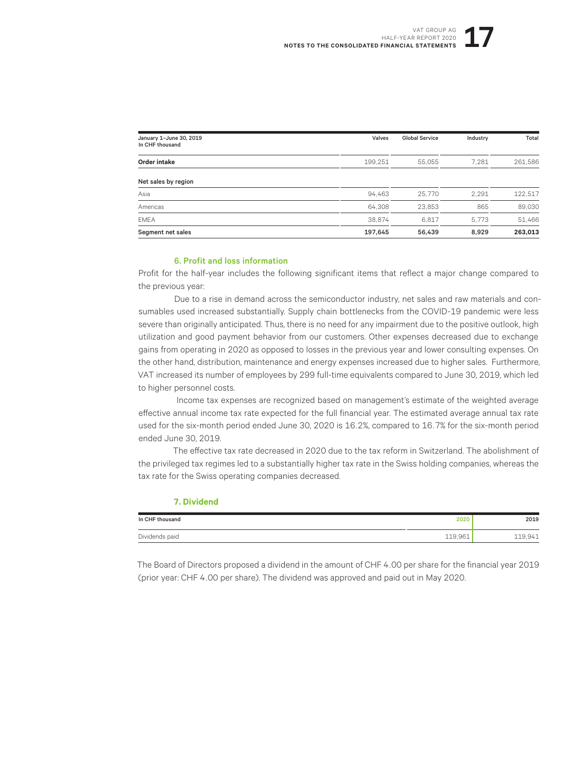| January 1-June 30, 2019<br>In CHF thousand | Valves  | <b>Global Service</b> | Industry | Total   |
|--------------------------------------------|---------|-----------------------|----------|---------|
| Order intake                               | 199,251 | 55,055                | 7,281    | 261,586 |
| Net sales by region                        |         |                       |          |         |
| Asia                                       | 94.463  | 25,770                | 2,291    | 122,517 |
| Americas                                   | 64.308  | 23.853                | 865      | 89,030  |
| <b>EMEA</b>                                | 38.874  | 6,817                 | 5.773    | 51,466  |
| Segment net sales                          | 197,645 | 56,439                | 8,929    | 263,013 |

#### 6. Profit and loss information

**7. Dividend**

Profit for the half-year includes the following significant items that reflect a major change compared to the previous year:

Due to a rise in demand across the semiconductor industry, net sales and raw materials and consumables used increased substantially. Supply chain bottlenecks from the COVID-19 pandemic were less severe than originally anticipated. Thus, there is no need for any impairment due to the positive outlook, high utilization and good payment behavior from our customers. Other expenses decreased due to exchange gains from operating in 2020 as opposed to losses in the previous year and lower consulting expenses. On the other hand, distribution, maintenance and energy expenses increased due to higher sales. Furthermore, VAT increased its number of employees by 299 full-time equivalents compared to June 30, 2019, which led to higher personnel costs.

Income tax expenses are recognized based on management's estimate of the weighted average effective annual income tax rate expected for the full financial year. The estimated average annual tax rate used for the six-month period ended June 30, 2020 is 16.2%, compared to 16.7% for the six-month period ended June 30, 2019.

The effective tax rate decreased in 2020 due to the tax reform in Switzerland. The abolishment of the privileged tax regimes led to a substantially higher tax rate in the Swiss holding companies, whereas the tax rate for the Swiss operating companies decreased.

| In CHF thousand | 2020    | 2019    |
|-----------------|---------|---------|
| Dividends paid  | 119,961 | 119,941 |

The Board of Directors proposed a dividend in the amount of CHF 4.00 per share for the financial year 2019 (prior year: CHF 4.00 per share). The dividend was approved and paid out in May 2020.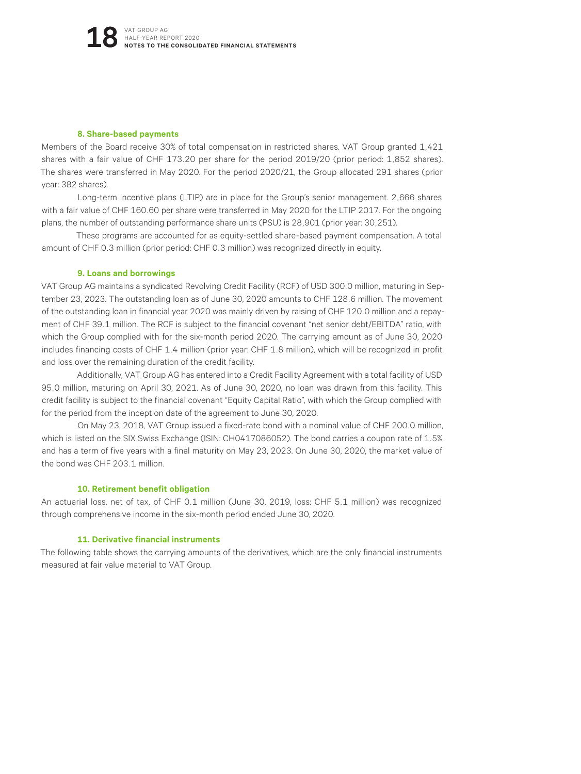#### **8. Share-based payments**

Members of the Board receive 30% of total compensation in restricted shares. VAT Group granted 1,421 shares with a fair value of CHF 173.20 per share for the period 2019/20 (prior period: 1,852 shares). The shares were transferred in May 2020. For the period 2020/21, the Group allocated 291 shares (prior year: 382 shares).

Long-term incentive plans (LTIP) are in place for the Group's senior management. 2,666 shares with a fair value of CHF 160.60 per share were transferred in May 2020 for the LTIP 2017. For the ongoing plans, the number of outstanding performance share units (PSU) is 28,901 (prior year: 30,251).

These programs are accounted for as equity-settled share-based payment compensation. A total amount of CHF 0.3 million (prior period: CHF 0.3 million) was recognized directly in equity.

#### **9. Loans and borrowings**

VAT Group AG maintains a syndicated Revolving Credit Facility (RCF) of USD 300.0 million, maturing in September 23, 2023. The outstanding loan as of June 30, 2020 amounts to CHF 128.6 million. The movement of the outstanding loan in financial year 2020 was mainly driven by raising of CHF 120.0 million and a repayment of CHF 39.1 million. The RCF is subject to the financial covenant "net senior debt/EBITDA" ratio, with which the Group complied with for the six-month period 2020. The carrying amount as of June 30, 2020 includes financing costs of CHF 1.4 million (prior year: CHF 1.8 million), which will be recognized in profit and loss over the remaining duration of the credit facility.

Additionally, VAT Group AG has entered into a Credit Facility Agreement with a total facility of USD 95.0 million, maturing on April 30, 2021. As of June 30, 2020, no loan was drawn from this facility. This credit facility is subject to the financial covenant "Equity Capital Ratio", with which the Group complied with for the period from the inception date of the agreement to June 30, 2020.

On May 23, 2018, VAT Group issued a fixed-rate bond with a nominal value of CHF 200.0 million, which is listed on the SIX Swiss Exchange (ISIN: CH0417086052). The bond carries a coupon rate of 1.5% and has a term of five years with a final maturity on May 23, 2023. On June 30, 2020, the market value of the bond was CHF 203.1 million.

#### **10. Retirement benefit obligation**

An actuarial loss, net of tax, of CHF 0.1 million (June 30, 2019, loss: CHF 5.1 million) was recognized through comprehensive income in the six-month period ended June 30, 2020.

#### **11. Derivative financial instruments**

The following table shows the carrying amounts of the derivatives, which are the only financial instruments measured at fair value material to VAT Group.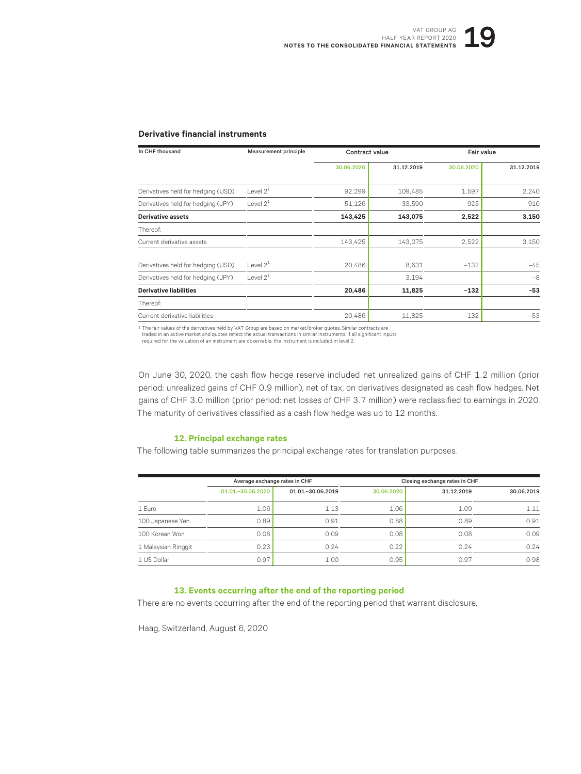#### **Derivative financial instruments**

| In CHF thousand                    | Measurement principle | Contract value |            |            | <b>Fair value</b> |  |
|------------------------------------|-----------------------|----------------|------------|------------|-------------------|--|
|                                    |                       | 30.06.2020     | 31.12.2019 | 30.06.2020 | 31.12.2019        |  |
| Derivatives held for hedging (USD) | Level $2^1$           | 92,299         | 109,485    | 1,597      | 2,240             |  |
| Derivatives held for hedging (JPY) | Level $2^1$           | 51,126         | 33,590     | 925        | 910               |  |
| <b>Derivative assets</b>           |                       | 143,425        | 143,075    | 2,522      | 3,150             |  |
| Thereof:                           |                       |                |            |            |                   |  |
| Current derivative assets          |                       | 143,425        | 143,075    | 2,522      | 3,150             |  |
| Derivatives held for hedging (USD) | Level $2^1$           | 20,486         | 8.631      | $-132$     | $-45$             |  |
| Derivatives held for hedging (JPY) | Level $2^1$           |                | 3.194      |            | $-8$              |  |
| <b>Derivative liabilities</b>      |                       | 20,486         | 11,825     | $-132$     | $-53$             |  |
| Thereof:                           |                       |                |            |            |                   |  |
| Current derivative liabilities     |                       | 20,486         | 11,825     | $-132$     | $-53$             |  |

1 The fair values of the derivatives held by VAT Group are based on market/broker quotes. Similar contracts are

traded in an active market and quotes reflect the actual transactions in similar instruments. If all significant inputs required for the valuation of an instrument are observable, the instrument is included in level 2.

On June 30, 2020, the cash flow hedge reserve included net unrealized gains of CHF 1.2 million (prior period: unrealized gains of CHF 0.9 million), net of tax, on derivatives designated as cash flow hedges. Net gains of CHF 3.0 million (prior period: net losses of CHF 3.7 million) were reclassified to earnings in 2020. The maturity of derivatives classified as a cash flow hedge was up to 12 months.

#### **12. Principal exchange rates**

The following table summarizes the principal exchange rates for translation purposes.

|                     | Average exchange rates in CHF |                     |            | Closing exchange rates in CHF |            |
|---------------------|-------------------------------|---------------------|------------|-------------------------------|------------|
|                     | 01.01. - 30.06.2020           | 01.01. - 30.06.2019 | 30.06.2020 | 31.12.2019                    | 30.06.2019 |
| 1 Euro              | 1.06                          | 1.13                | 1.06       | 1.09                          | 1.11       |
| 100 Japanese Yen    | 0.89                          | 0.91                | 0.88       | 0.89                          | 0.91       |
| 100 Korean Won      | 0.08                          | 0.09                | 0.08       | 0.08                          | 0.09       |
| 1 Malaysian Ringgit | 0.23                          | 0.24                | 0.22       | 0.24                          | 0.24       |
| 1 US Dollar         | 0.97                          | 1.00                | 0.95       | 0.97                          | 0.98       |

#### **13. Events occurring after the end of the reporting period**

There are no events occurring after the end of the reporting period that warrant disclosure.

Haag, Switzerland, August 6, 2020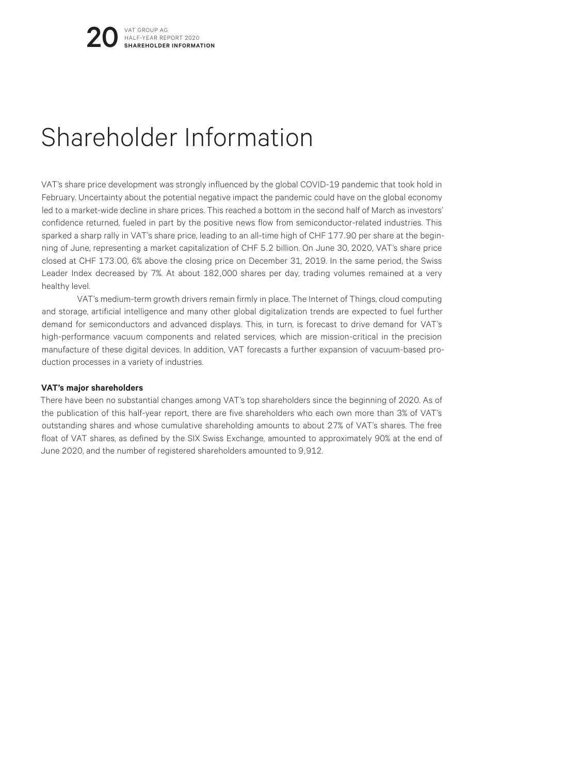## Shareholder Information

VAT's share price development was strongly influenced by the global COVID-19 pandemic that took hold in February. Uncertainty about the potential negative impact the pandemic could have on the global economy led to a market-wide decline in share prices. This reached a bottom in the second half of March as investors' confidence returned, fueled in part by the positive news flow from semiconductor-related industries. This sparked a sharp rally in VAT's share price, leading to an all-time high of CHF 177.90 per share at the beginning of June, representing a market capitalization of CHF 5.2 billion. On June 30, 2020, VAT's share price closed at CHF 173.00, 6% above the closing price on December 31, 2019. In the same period, the Swiss Leader Index decreased by 7%. At about 182,000 shares per day, trading volumes remained at a very healthy level.

VAT's medium-term growth drivers remain firmly in place. The Internet of Things, cloud computing and storage, artificial intelligence and many other global digitalization trends are expected to fuel further demand for semiconductors and advanced displays. This, in turn, is forecast to drive demand for VAT's high-performance vacuum components and related services, which are mission-critical in the precision manufacture of these digital devices. In addition, VAT forecasts a further expansion of vacuum-based production processes in a variety of industries.

#### **VAT's major shareholders**

There have been no substantial changes among VAT's top shareholders since the beginning of 2020. As of the publication of this half-year report, there are five shareholders who each own more than 3% of VAT's outstanding shares and whose cumulative shareholding amounts to about 27% of VAT's shares. The free float of VAT shares, as defined by the SIX Swiss Exchange, amounted to approximately 90% at the end of June 2020, and the number of registered shareholders amounted to 9,912.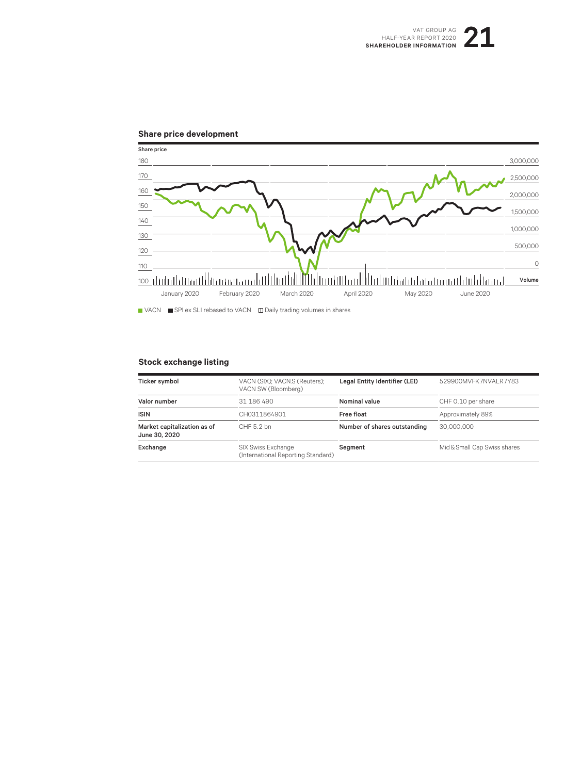#### **Share price development**



VACN SPI ex SLI rebased to VACN Daily trading volumes in shares

#### **Stock exchange listing**

| Ticker symbol                                | VACN (SIX); VACN.S (Reuters);<br>VACN SW (Bloomberg)     | Legal Entity Identifier (LEI) | 529900MVFK7NVALR7Y83         |
|----------------------------------------------|----------------------------------------------------------|-------------------------------|------------------------------|
| Valor number                                 | 31 186 490                                               | Nominal value                 | CHF 0.10 per share           |
| <b>ISIN</b>                                  | CH0311864901                                             | Free float                    | Approximately 89%            |
| Market capitalization as of<br>June 30, 2020 | CHF 5.2 bn                                               | Number of shares outstanding  | 30,000,000                   |
| Exchange                                     | SIX Swiss Exchange<br>(International Reporting Standard) | Segment                       | Mid & Small Cap Swiss shares |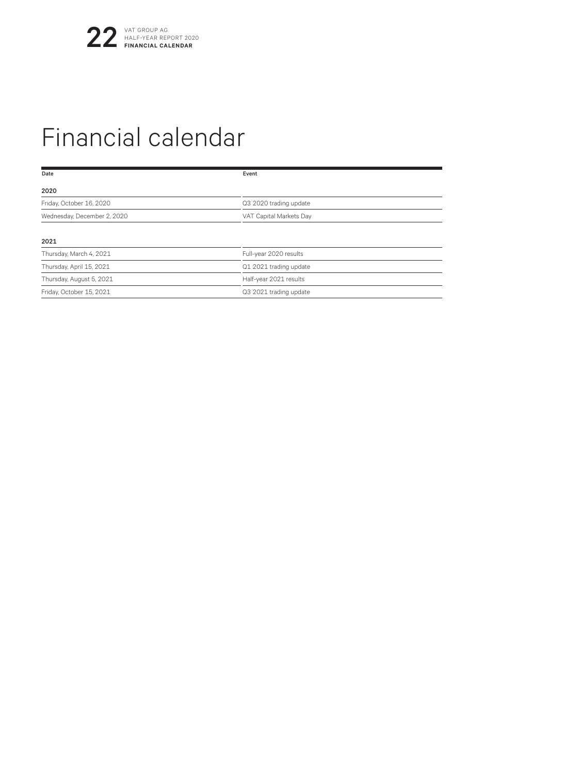## Financial calendar

| Date                        | Event                   |  |
|-----------------------------|-------------------------|--|
| 2020                        |                         |  |
| Friday, October 16, 2020    | Q3 2020 trading update  |  |
| Wednesday, December 2, 2020 | VAT Capital Markets Day |  |
| 2021                        |                         |  |
|                             |                         |  |
| Thursday, March 4, 2021     | Full-year 2020 results  |  |
| Thursday, April 15, 2021    | Q1 2021 trading update  |  |
| Thursday, August 5, 2021    | Half-year 2021 results  |  |
| Friday, October 15, 2021    | Q3 2021 trading update  |  |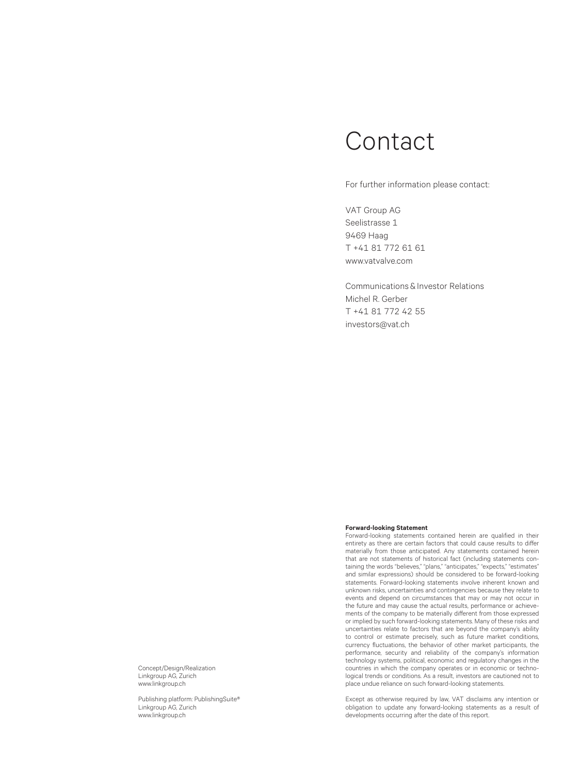### Contact

For further information please contact:

VAT Group AG Seelistrasse 1 9469 Haag T +41 81 772 61 61 www.vatvalve.com

Communications & Investor Relations Michel R. Gerber T +41 81 772 42 55 investors@vat.ch

#### **Forward-looking Statement**

Forward-looking statements contained herein are qualified in their entirety as there are certain factors that could cause results to differ materially from those anticipated. Any statements contained herein that are not statements of historical fact (including statements containing the words "believes," "plans," "anticipates," "expects," "estimates" and similar expressions) should be considered to be forward-looking statements. Forward-looking statements involve inherent known and unknown risks, uncertainties and contingencies because they relate to events and depend on circumstances that may or may not occur in the future and may cause the actual results, performance or achievements of the company to be materially different from those expressed or implied by such forward-looking statements. Many of these risks and uncertainties relate to factors that are beyond the company's ability to control or estimate precisely, such as future market conditions, currency fluctuations, the behavior of other market participants, the performance, security and reliability of the company's information technology systems, political, economic and regulatory changes in the countries in which the company operates or in economic or technological trends or conditions. As a result, investors are cautioned not to place undue reliance on such forward-looking statements.

Except as otherwise required by law, VAT disclaims any intention or obligation to update any forward-looking statements as a result of developments occurring after the date of this report.

Concept/Design/Realization Linkgroup AG, Zurich www.linkgroup.ch

Publishing platform: PublishingSuite® Linkgroup AG, Zurich www.linkgroup.ch